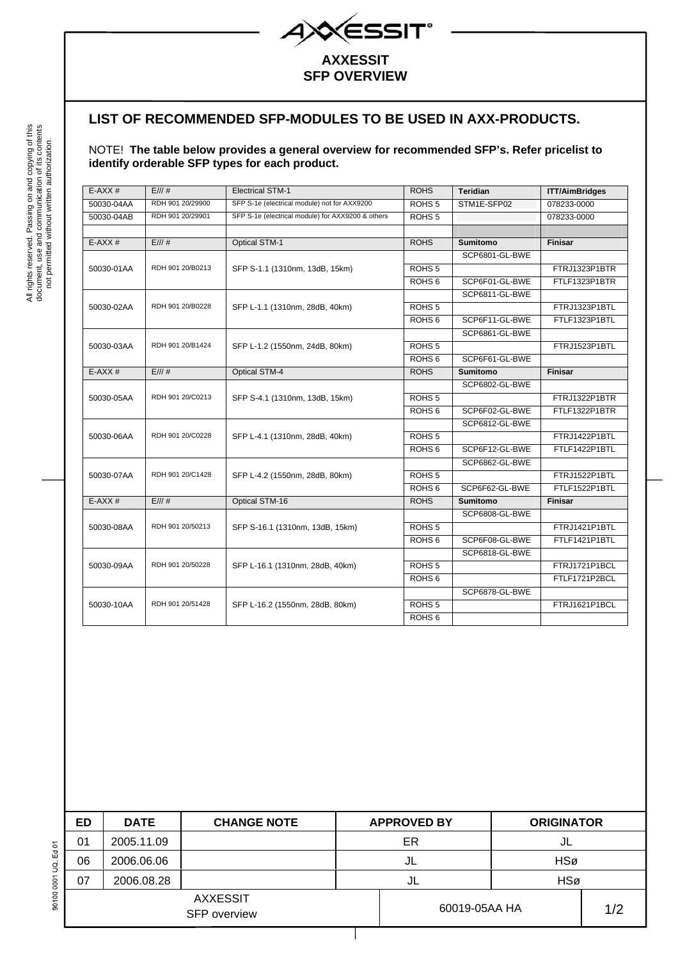

## **SFP OVERVIEW**

## **LIST OF RECOMMENDED SFP-MODULES TO BE USED IN AXX-PRODUCTS.**

## NOTE! **The table below provides a general overview for recommended SFP's. Refer pricelist to identify orderable SFP types for each product.**

| $E-AXX#$   | E/11#            | <b>Electrical STM-1</b>                           | <b>ROHS</b>       | <b>Teridian</b> | <b>ITT/AimBridges</b> |
|------------|------------------|---------------------------------------------------|-------------------|-----------------|-----------------------|
| 50030-04AA | RDH 901 20/29900 | SFP S-1e (electrical module) not for AXX9200      | ROHS <sub>5</sub> | STM1E-SFP02     | 078233-0000           |
| 50030-04AB | RDH 901 20/29901 | SFP S-1e (electrical module) for AXX9200 & others | ROHS <sub>5</sub> |                 | 078233-0000           |
|            |                  |                                                   |                   |                 |                       |
| $E-AXX#$   | E//#             | <b>Optical STM-1</b>                              | <b>ROHS</b>       | <b>Sumitomo</b> | <b>Finisar</b>        |
|            |                  |                                                   |                   | SCP6801-GL-BWE  |                       |
| 50030-01AA | RDH 901 20/B0213 | SFP S-1.1 (1310nm, 13dB, 15km)                    | ROHS <sub>5</sub> |                 | FTRJ1323P1BTR         |
|            |                  |                                                   | ROHS <sub>6</sub> | SCP6F01-GL-BWE  | FTLF1323P1BTR         |
|            |                  | SFP L-1.1 (1310nm, 28dB, 40km)                    |                   | SCP6811-GL-BWE  |                       |
| 50030-02AA | RDH 901 20/B0228 |                                                   | ROHS <sub>5</sub> |                 | FTRJ1323P1BTL         |
|            |                  |                                                   | ROHS <sub>6</sub> | SCP6F11-GL-BWE  | FTLF1323P1BTL         |
|            |                  |                                                   |                   | SCP6861-GL-BWE  |                       |
| 50030-03AA | RDH 901 20/B1424 | SFP L-1.2 (1550nm, 24dB, 80km)                    | ROHS <sub>5</sub> |                 | FTRJ1523P1BTL         |
|            |                  |                                                   | ROHS <sub>6</sub> | SCP6F61-GL-BWE  |                       |
| $E-AXX#$   | E/11#            | <b>Optical STM-4</b>                              | <b>ROHS</b>       | <b>Sumitomo</b> | Finisar               |
|            |                  |                                                   |                   | SCP6802-GL-BWE  |                       |
| 50030-05AA | RDH 901 20/C0213 | SFP S-4.1 (1310nm, 13dB, 15km)                    | ROHS <sub>5</sub> |                 | FTRJ1322P1BTR         |
|            |                  |                                                   | ROHS <sub>6</sub> | SCP6F02-GL-BWE  | FTLF1322P1BTR         |
| 50030-06AA | RDH 901 20/C0228 | SFP L-4.1 (1310nm, 28dB, 40km)                    |                   | SCP6812-GL-BWE  |                       |
|            |                  |                                                   | ROHS <sub>5</sub> |                 | FTRJ1422P1BTL         |
|            |                  |                                                   | ROHS <sub>6</sub> | SCP6F12-GL-BWE  | FTLF1422P1BTL         |
|            |                  |                                                   |                   | SCP6862-GL-BWE  |                       |
| 50030-07AA | RDH 901 20/C1428 | SFP L-4.2 (1550nm, 28dB, 80km)                    | ROHS <sub>5</sub> |                 | FTRJ1522P1BTL         |
|            |                  |                                                   | ROHS <sub>6</sub> | SCP6F62-GL-BWE  | FTLF1522P1BTL         |
| $E-AXX#$   | E/11#            | Optical STM-16                                    | <b>ROHS</b>       | <b>Sumitomo</b> | Finisar               |
|            |                  |                                                   |                   | SCP6808-GL-BWE  |                       |
| 50030-08AA | RDH 901 20/50213 | SFP S-16.1 (1310nm, 13dB, 15km)                   | ROHS <sub>5</sub> |                 | FTRJ1421P1BTL         |
|            |                  |                                                   | ROHS <sub>6</sub> | SCP6F08-GL-BWE  | FTLF1421P1BTL         |
|            |                  |                                                   |                   | SCP6818-GL-BWE  |                       |
| 50030-09AA | RDH 901 20/50228 | SFP L-16.1 (1310nm, 28dB, 40km)                   | ROHS <sub>5</sub> |                 | FTRJ1721P1BCL         |
|            |                  |                                                   | ROHS <sub>6</sub> |                 | FTLF1721P2BCL         |
|            | RDH 901 20/51428 | SFP L-16.2 (1550nm, 28dB, 80km)                   |                   | SCP6878-GL-BWE  |                       |
| 50030-10AA |                  |                                                   | ROHS <sub>5</sub> |                 | FTRJ1621P1BCL         |
|            |                  |                                                   | ROHS <sub>6</sub> |                 |                       |

| ED                                     | <b>DATE</b> | <b>CHANGE NOTE</b> |               | <b>APPROVED BY</b> | <b>ORIGINATOR</b> |  |    |  |
|----------------------------------------|-------------|--------------------|---------------|--------------------|-------------------|--|----|--|
| 01                                     | 2005.11.09  |                    | ER            |                    |                   |  | JL |  |
| 06                                     | 2006.06.06  |                    |               | HSø<br>JL          |                   |  |    |  |
| 07                                     | 2006.08.28  |                    | JL            |                    | HSø               |  |    |  |
| <b>AXXESSIT</b><br><b>SFP</b> overview |             |                    | 60019-05AA HA |                    | 1/2               |  |    |  |
|                                        |             |                    |               |                    |                   |  |    |  |

90100 0001 UQ, Ed 01